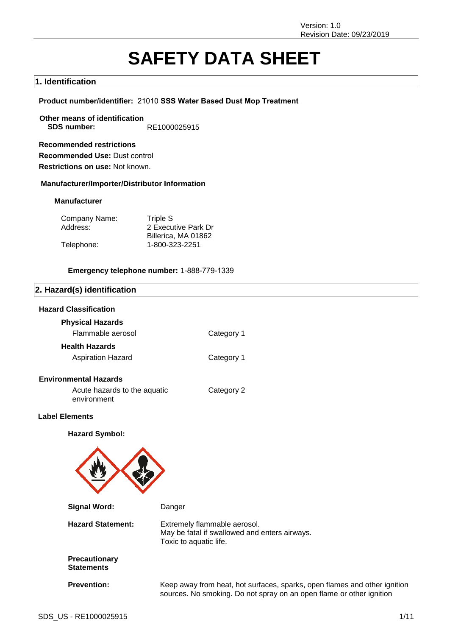# **SAFETY DATA SHEET**

# **1. Identification**

#### **Product number/identifier:** 21010 **SSS Water Based Dust Mop Treatment**

**Other means of identification SDS number:** RE1000025915

**Recommended restrictions Recommended Use:** Dust control **Restrictions on use:** Not known.

**Manufacturer/Importer/Distributor Information**

#### **Manufacturer**

| Company Name: | Triple S            |
|---------------|---------------------|
| Address:      | 2 Executive Park Dr |
|               | Billerica, MA 01862 |
| Telephone:    | 1-800-323-2251      |

#### **Emergency telephone number:** 1-888-779-1339

# **2. Hazard(s) identification**

# **Hazard Classification**

| <b>Physical Hazards</b>  |            |
|--------------------------|------------|
| Flammable aerosol        | Category 1 |
| <b>Health Hazards</b>    |            |
| <b>Aspiration Hazard</b> | Category 1 |

# **Environmental Hazards**

| Acute hazards to the aquatic | Category |
|------------------------------|----------|
| environment                  |          |

#### **Label Elements**

**Hazard Symbol:**



 $\overline{2}$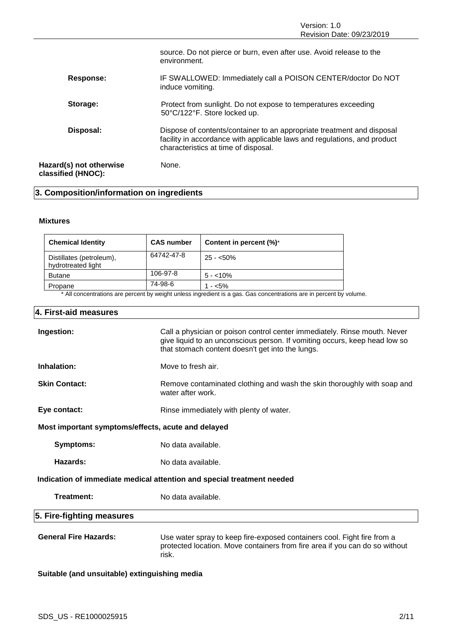|                                               | source. Do not pierce or burn, even after use. Avoid release to the<br>environment.                                                                                                        |
|-----------------------------------------------|--------------------------------------------------------------------------------------------------------------------------------------------------------------------------------------------|
| Response:                                     | IF SWALLOWED: Immediately call a POISON CENTER/doctor Do NOT<br>induce vomiting.                                                                                                           |
| Storage:                                      | Protect from sunlight. Do not expose to temperatures exceeding<br>50°C/122°F. Store locked up.                                                                                             |
| Disposal:                                     | Dispose of contents/container to an appropriate treatment and disposal<br>facility in accordance with applicable laws and regulations, and product<br>characteristics at time of disposal. |
| Hazard(s) not otherwise<br>classified (HNOC): | None.                                                                                                                                                                                      |

# **3. Composition/information on ingredients**

# **Mixtures**

| <b>Chemical Identity</b>                       | <b>CAS number</b> | Content in percent (%)* |
|------------------------------------------------|-------------------|-------------------------|
| Distillates (petroleum),<br>hydrotreated light | 64742-47-8        | $25 - 50\%$             |
| <b>Butane</b>                                  | 106-97-8          | $5 - 10\%$              |
| Propane                                        | 74-98-6           | $1 - 5\%$               |

\* All concentrations are percent by weight unless ingredient is a gas. Gas concentrations are in percent by volume.

# **4. First-aid measures**

| Ingestion:                                                             | Call a physician or poison control center immediately. Rinse mouth. Never<br>give liquid to an unconscious person. If vomiting occurs, keep head low so<br>that stomach content doesn't get into the lungs. |  |
|------------------------------------------------------------------------|-------------------------------------------------------------------------------------------------------------------------------------------------------------------------------------------------------------|--|
| Inhalation:                                                            | Move to fresh air.                                                                                                                                                                                          |  |
| <b>Skin Contact:</b>                                                   | Remove contaminated clothing and wash the skin thoroughly with soap and<br>water after work.                                                                                                                |  |
| Eye contact:                                                           | Rinse immediately with plenty of water.                                                                                                                                                                     |  |
| Most important symptoms/effects, acute and delayed                     |                                                                                                                                                                                                             |  |
| <b>Symptoms:</b>                                                       | No data available.                                                                                                                                                                                          |  |
| Hazards:                                                               | No data available.                                                                                                                                                                                          |  |
| Indication of immediate medical attention and special treatment needed |                                                                                                                                                                                                             |  |
| Treatment:                                                             | No data available.                                                                                                                                                                                          |  |
| 5. Fire-fighting measures                                              |                                                                                                                                                                                                             |  |
| <b>General Fire Hazards:</b>                                           | Use water spray to keep fire-exposed containers cool. Fight fire from a<br>protected location. Move containers from fire area if you can do so without<br>risk.                                             |  |

**Suitable (and unsuitable) extinguishing media**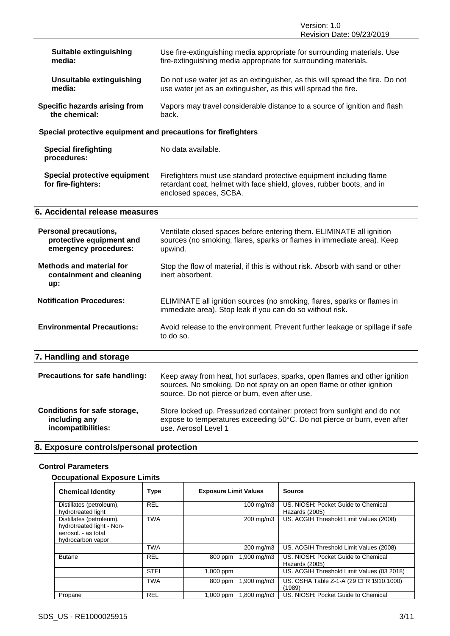Version: 1.0 Revision Date: 09/23/2019

| <b>Suitable extinguishing</b><br>media:                                           | Use fire-extinguishing media appropriate for surrounding materials. Use<br>fire-extinguishing media appropriate for surrounding materials.                                                          |
|-----------------------------------------------------------------------------------|-----------------------------------------------------------------------------------------------------------------------------------------------------------------------------------------------------|
| <b>Unsuitable extinguishing</b><br>media:                                         | Do not use water jet as an extinguisher, as this will spread the fire. Do not<br>use water jet as an extinguisher, as this will spread the fire.                                                    |
| Specific hazards arising from<br>the chemical:                                    | Vapors may travel considerable distance to a source of ignition and flash<br>back.                                                                                                                  |
| Special protective equipment and precautions for firefighters                     |                                                                                                                                                                                                     |
| <b>Special firefighting</b><br>procedures:                                        | No data available.                                                                                                                                                                                  |
| <b>Special protective equipment</b><br>for fire-fighters:                         | Firefighters must use standard protective equipment including flame<br>retardant coat, helmet with face shield, gloves, rubber boots, and in<br>enclosed spaces, SCBA.                              |
| 6. Accidental release measures                                                    |                                                                                                                                                                                                     |
| <b>Personal precautions,</b><br>protective equipment and<br>emergency procedures: | Ventilate closed spaces before entering them. ELIMINATE all ignition<br>sources (no smoking, flares, sparks or flames in immediate area). Keep<br>upwind.                                           |
| <b>Methods and material for</b><br>containment and cleaning<br>up:                | Stop the flow of material, if this is without risk. Absorb with sand or other<br>inert absorbent.                                                                                                   |
| <b>Notification Procedures:</b>                                                   | ELIMINATE all ignition sources (no smoking, flares, sparks or flames in<br>immediate area). Stop leak if you can do so without risk.                                                                |
| <b>Environmental Precautions:</b>                                                 | Avoid release to the environment. Prevent further leakage or spillage if safe<br>to do so.                                                                                                          |
| 7. Handling and storage                                                           |                                                                                                                                                                                                     |
| Precautions for safe handling:                                                    | Keep away from heat, hot surfaces, sparks, open flames and other ignition<br>sources. No smoking. Do not spray on an open flame or other ignition<br>source. Do not pierce or burn, even after use. |
| <b>Conditions for safe storage,</b><br>including any<br>incompatibilities:        | Store locked up. Pressurized container: protect from sunlight and do not<br>expose to temperatures exceeding 50°C. Do not pierce or burn, even after<br>use. Aerosol Level 1                        |

# **8. Exposure controls/personal protection**

# **Control Parameters**

# **Occupational Exposure Limits**

| <b>Chemical Identity</b>                                                                          | Type        | <b>Exposure Limit Values</b> | <b>Source</b>                                         |
|---------------------------------------------------------------------------------------------------|-------------|------------------------------|-------------------------------------------------------|
| Distillates (petroleum),<br>hydrotreated light                                                    | <b>REL</b>  | $100 \text{ mg/m}$ 3         | US. NIOSH: Pocket Guide to Chemical<br>Hazards (2005) |
| Distillates (petroleum),<br>hydrotreated light - Non-<br>aerosol. - as total<br>hydrocarbon vapor | <b>TWA</b>  | 200 mg/m3                    | US. ACGIH Threshold Limit Values (2008)               |
|                                                                                                   | <b>TWA</b>  | 200 mg/m3                    | US. ACGIH Threshold Limit Values (2008)               |
| <b>Butane</b>                                                                                     | <b>REL</b>  | 1,900 mg/m3<br>800 ppm       | US. NIOSH: Pocket Guide to Chemical<br>Hazards (2005) |
|                                                                                                   | <b>STEL</b> | $1,000$ ppm                  | US. ACGIH Threshold Limit Values (03 2018)            |
|                                                                                                   | <b>TWA</b>  | 1,900 mg/m3<br>800 ppm       | US. OSHA Table Z-1-A (29 CFR 1910.1000)<br>(1989)     |
| Propane                                                                                           | <b>REL</b>  | 1,800 mg/m3<br>$1.000$ ppm   | US. NIOSH: Pocket Guide to Chemical                   |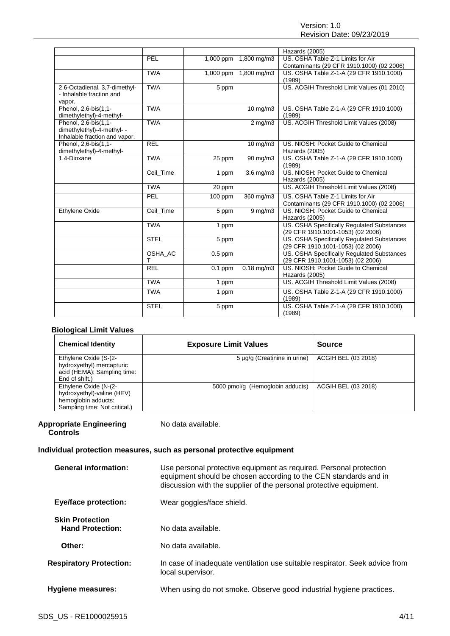|                               |             |                    |                       | Hazards (2005)                             |
|-------------------------------|-------------|--------------------|-----------------------|--------------------------------------------|
|                               | PEL         |                    | 1,000 ppm 1,800 mg/m3 | US. OSHA Table Z-1 Limits for Air          |
|                               |             |                    |                       | Contaminants (29 CFR 1910.1000) (02 2006)  |
|                               | <b>TWA</b>  |                    | 1,000 ppm 1,800 mg/m3 | US. OSHA Table Z-1-A (29 CFR 1910.1000)    |
|                               |             |                    |                       | (1989)                                     |
| 2,6-Octadienal, 3,7-dimethyl- | <b>TWA</b>  | $\overline{5}$ ppm |                       | US. ACGIH Threshold Limit Values (01 2010) |
| - Inhalable fraction and      |             |                    |                       |                                            |
| vapor.                        |             |                    |                       |                                            |
| Phenol, 2,6-bis(1,1-          | <b>TWA</b>  |                    | 10 mg/m3              | US. OSHA Table Z-1-A (29 CFR 1910.1000)    |
| dimethylethyl)-4-methyl-      |             |                    |                       | (1989)                                     |
| Phenol, 2,6-bis(1,1-          | <b>TWA</b>  |                    | $2$ mg/m $3$          | US. ACGIH Threshold Limit Values (2008)    |
| dimethylethyl)-4-methyl- -    |             |                    |                       |                                            |
| Inhalable fraction and vapor. |             |                    |                       |                                            |
| Phenol, 2,6-bis(1,1-          | <b>REL</b>  |                    | $10$ mg/m $3$         | US. NIOSH: Pocket Guide to Chemical        |
| dimethylethyl)-4-methyl-      |             |                    |                       | Hazards (2005)                             |
| 1.4-Dioxane                   | <b>TWA</b>  | 25 ppm             | $90 \,\mathrm{mg/m}$  | US. OSHA Table Z-1-A (29 CFR 1910.1000)    |
|                               |             |                    |                       | (1989)                                     |
|                               | Ceil_Time   | 1 ppm              | $3.6 \,\mathrm{mg/m}$ | US. NIOSH: Pocket Guide to Chemical        |
|                               |             |                    |                       | Hazards (2005)                             |
|                               | <b>TWA</b>  | 20 ppm             |                       | US. ACGIH Threshold Limit Values (2008)    |
|                               | PEL         | 100 ppm            | 360 mg/m3             | US. OSHA Table Z-1 Limits for Air          |
|                               |             |                    |                       | Contaminants (29 CFR 1910.1000) (02 2006)  |
| Ethylene Oxide                | Ceil Time   | 5 ppm              | $9 \,\mathrm{mg/m}$   | US. NIOSH: Pocket Guide to Chemical        |
|                               |             |                    |                       | Hazards (2005)                             |
|                               | <b>TWA</b>  | 1 ppm              |                       | US. OSHA Specifically Regulated Substances |
|                               |             |                    |                       | (29 CFR 1910.1001-1053) (02 2006)          |
|                               | <b>STEL</b> | 5 ppm              |                       | US. OSHA Specifically Regulated Substances |
|                               |             |                    |                       | (29 CFR 1910.1001-1053) (02 2006)          |
|                               | OSHA_AC     | $0.5$ ppm          |                       | US. OSHA Specifically Regulated Substances |
|                               | т           |                    |                       | (29 CFR 1910.1001-1053) (02 2006)          |
|                               | <b>REL</b>  | $0.1$ ppm          | $0.18$ mg/m3          | US. NIOSH: Pocket Guide to Chemical        |
|                               |             |                    |                       | Hazards (2005)                             |
|                               | <b>TWA</b>  | 1 ppm              |                       | US. ACGIH Threshold Limit Values (2008)    |
|                               | <b>TWA</b>  | 1 ppm              |                       | US. OSHA Table Z-1-A (29 CFR 1910.1000)    |
|                               |             |                    |                       | (1989)                                     |
|                               | <b>STEL</b> | 5 ppm              |                       | US. OSHA Table Z-1-A (29 CFR 1910.1000)    |
|                               |             |                    |                       | (1989)                                     |

# **Biological Limit Values**

| <b>Chemical Identity</b>                                                                                    | <b>Exposure Limit Values</b>     | Source              |
|-------------------------------------------------------------------------------------------------------------|----------------------------------|---------------------|
| Ethylene Oxide (S-(2-<br>hydroxyethyl) mercapturic<br>acid (HEMA): Sampling time:<br>End of shift.)         | 5 µg/g (Creatinine in urine)     | ACGIH BEL (03 2018) |
| Ethylene Oxide (N-(2-<br>hydroxyethyl)-valine (HEV)<br>hemoglobin adducts:<br>Sampling time: Not critical.) | 5000 pmol/g (Hemoglobin adducts) | ACGIH BEL (03 2018) |

## **Appropriate Engineering Controls**

No data available.

# **Individual protection measures, such as personal protective equipment**

| <b>General information:</b>                       | Use personal protective equipment as required. Personal protection<br>equipment should be chosen according to the CEN standards and in<br>discussion with the supplier of the personal protective equipment. |
|---------------------------------------------------|--------------------------------------------------------------------------------------------------------------------------------------------------------------------------------------------------------------|
| <b>Eye/face protection:</b>                       | Wear goggles/face shield.                                                                                                                                                                                    |
| <b>Skin Protection</b><br><b>Hand Protection:</b> | No data available.                                                                                                                                                                                           |
| Other:                                            | No data available.                                                                                                                                                                                           |
| <b>Respiratory Protection:</b>                    | In case of inadequate ventilation use suitable respirator. Seek advice from<br>local supervisor.                                                                                                             |
| <b>Hygiene measures:</b>                          | When using do not smoke. Observe good industrial hygiene practices.                                                                                                                                          |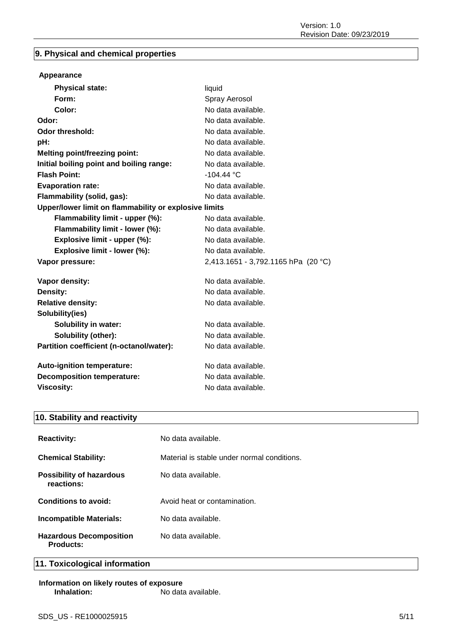# **9. Physical and chemical properties**

# **Appearance**

| <b>Physical state:</b>                                | liquid                              |
|-------------------------------------------------------|-------------------------------------|
| Form:                                                 | Spray Aerosol                       |
| Color:                                                | No data available.                  |
| Odor:                                                 | No data available.                  |
| Odor threshold:                                       | No data available.                  |
| pH:                                                   | No data available.                  |
| <b>Melting point/freezing point:</b>                  | No data available.                  |
| Initial boiling point and boiling range:              | No data available.                  |
| <b>Flash Point:</b>                                   | $-104.44 °C$                        |
| <b>Evaporation rate:</b>                              | No data available.                  |
| Flammability (solid, gas):                            | No data available.                  |
| Upper/lower limit on flammability or explosive limits |                                     |
| Flammability limit - upper (%):                       | No data available.                  |
| Flammability limit - lower (%):                       | No data available.                  |
| Explosive limit - upper (%):                          | No data available.                  |
| Explosive limit - lower (%):                          | No data available.                  |
| Vapor pressure:                                       | 2,413.1651 - 3,792.1165 hPa (20 °C) |
| Vapor density:                                        | No data available.                  |
| Density:                                              | No data available.                  |
| <b>Relative density:</b>                              | No data available.                  |
| Solubility(ies)                                       |                                     |
| <b>Solubility in water:</b>                           | No data available.                  |
| Solubility (other):                                   | No data available.                  |
| Partition coefficient (n-octanol/water):              | No data available.                  |
| Auto-ignition temperature:                            | No data available.                  |
| <b>Decomposition temperature:</b>                     | No data available.                  |
| <b>Viscosity:</b>                                     | No data available.                  |

# **10. Stability and reactivity**

| <b>Reactivity:</b>                            | No data available.                          |
|-----------------------------------------------|---------------------------------------------|
| <b>Chemical Stability:</b>                    | Material is stable under normal conditions. |
| <b>Possibility of hazardous</b><br>reactions: | No data available.                          |
| Conditions to avoid:                          | Avoid heat or contamination.                |
| <b>Incompatible Materials:</b>                | No data available.                          |
| <b>Hazardous Decomposition</b><br>Products:   | No data available.                          |

# **11. Toxicological information**

**Information on likely routes of exposure Inhalation:** No data available.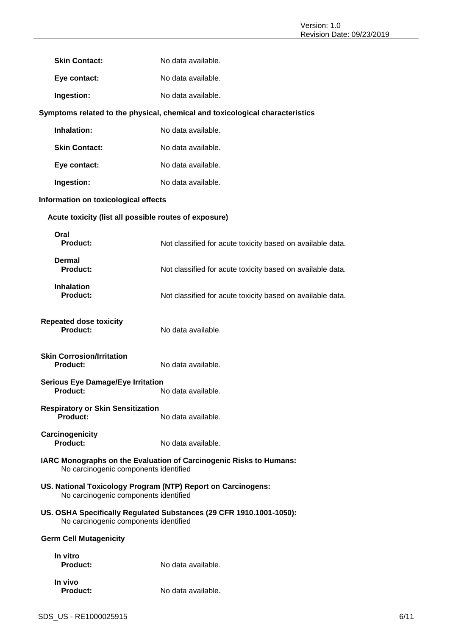| <b>Skin Contact:</b>                                        | No data available.                                                           |
|-------------------------------------------------------------|------------------------------------------------------------------------------|
| Eye contact:                                                | No data available.                                                           |
| Ingestion:                                                  | No data available.                                                           |
|                                                             | Symptoms related to the physical, chemical and toxicological characteristics |
| Inhalation:                                                 | No data available.                                                           |
| <b>Skin Contact:</b>                                        | No data available.                                                           |
| Eye contact:                                                | No data available.                                                           |
| Ingestion:                                                  | No data available.                                                           |
| Information on toxicological effects                        |                                                                              |
| Acute toxicity (list all possible routes of exposure)       |                                                                              |
| Oral<br><b>Product:</b>                                     | Not classified for acute toxicity based on available data.                   |
| <b>Dermal</b><br><b>Product:</b>                            | Not classified for acute toxicity based on available data.                   |
| <b>Inhalation</b><br><b>Product:</b>                        | Not classified for acute toxicity based on available data.                   |
| <b>Repeated dose toxicity</b><br>Product:                   | No data available.                                                           |
| <b>Skin Corrosion/Irritation</b><br><b>Product:</b>         | No data available.                                                           |
| <b>Serious Eye Damage/Eye Irritation</b><br>Product:        | No data available.                                                           |
| <b>Respiratory or Skin Sensitization</b><br><b>Product:</b> | No data available.                                                           |
| Carcinogenicity<br>Product:                                 | No data available.                                                           |
| No carcinogenic components identified                       | IARC Monographs on the Evaluation of Carcinogenic Risks to Humans:           |
| No carcinogenic components identified                       | US. National Toxicology Program (NTP) Report on Carcinogens:                 |
| No carcinogenic components identified                       | US. OSHA Specifically Regulated Substances (29 CFR 1910.1001-1050):          |
| <b>Germ Cell Mutagenicity</b>                               |                                                                              |
| In vitro<br><b>Product:</b>                                 | No data available.                                                           |
| In vivo<br><b>Product:</b>                                  | No data available.                                                           |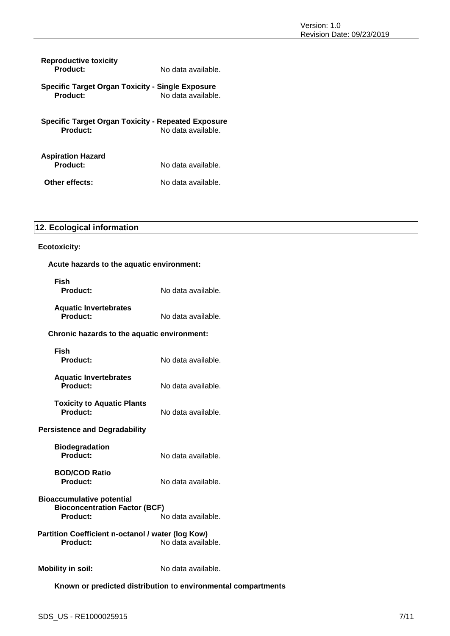| <b>Reproductive toxicity</b><br>Product:                              | No data available. |
|-----------------------------------------------------------------------|--------------------|
| Specific Target Organ Toxicity - Single Exposure<br><b>Product:</b>   | No data available. |
| <b>Specific Target Organ Toxicity - Repeated Exposure</b><br>Product: | No data available. |
| <b>Aspiration Hazard</b><br>Product:                                  | No data available. |
| Other effects:                                                        | No data available. |

# **12. Ecological information**

# **Ecotoxicity:**

| <b>Ecotoxicity:</b>                                                                         |                                                               |
|---------------------------------------------------------------------------------------------|---------------------------------------------------------------|
| Acute hazards to the aquatic environment:                                                   |                                                               |
| Fish<br>Product:                                                                            | No data available.                                            |
| <b>Aquatic Invertebrates</b><br><b>Product:</b>                                             | No data available.                                            |
| Chronic hazards to the aquatic environment:                                                 |                                                               |
| Fish<br><b>Product:</b>                                                                     | No data available.                                            |
| <b>Aquatic Invertebrates</b><br>Product:                                                    | No data available.                                            |
| <b>Toxicity to Aquatic Plants</b><br>Product:                                               | No data available.                                            |
| <b>Persistence and Degradability</b>                                                        |                                                               |
| <b>Biodegradation</b><br>Product:                                                           | No data available.                                            |
| <b>BOD/COD Ratio</b><br><b>Product:</b>                                                     | No data available.                                            |
| <b>Bioaccumulative potential</b><br><b>Bioconcentration Factor (BCF)</b><br><b>Product:</b> | No data available.                                            |
| Partition Coefficient n-octanol / water (log Kow)<br>Product:                               | No data available.                                            |
| <b>Mobility in soil:</b>                                                                    | No data available.                                            |
|                                                                                             | Known or predicted distribution to environmental compartments |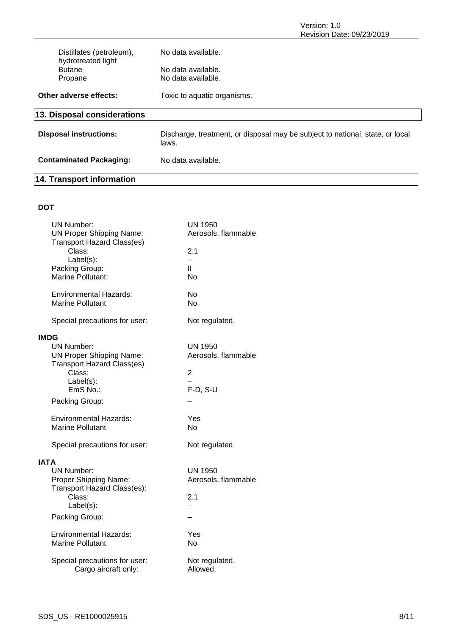Version: 1.0 Revision Date: 09/23/2019

| Distillates (petroleum),                       | No data available.                                                                     |
|------------------------------------------------|----------------------------------------------------------------------------------------|
| hydrotreated light<br><b>Butane</b><br>Propane | No data available.<br>No data available.                                               |
| Other adverse effects:                         | Toxic to aquatic organisms.                                                            |
| 13. Disposal considerations                    |                                                                                        |
| <b>Disposal instructions:</b>                  | Discharge, treatment, or disposal may be subject to national, state, or local<br>laws. |
| <b>Contaminated Packaging:</b>                 | No data available.                                                                     |
| 14. Transport information                      |                                                                                        |

# **DOT**

| <b>UN Number:</b>                 | <b>UN 1950</b>      |
|-----------------------------------|---------------------|
| <b>UN Proper Shipping Name:</b>   | Aerosols, flammable |
| <b>Transport Hazard Class(es)</b> |                     |
| Class:                            | 2.1                 |
| Label(s):                         | ÷.                  |
| Packing Group:                    | Ш                   |
| Marine Pollutant:                 | Nο                  |
| <b>Environmental Hazards:</b>     | No                  |
| <b>Marine Pollutant</b>           | No                  |
|                                   |                     |
| Special precautions for user:     | Not regulated.      |
| <b>IMDG</b>                       |                     |
| <b>UN Number:</b>                 | <b>UN 1950</b>      |
| <b>UN Proper Shipping Name:</b>   | Aerosols, flammable |
| <b>Transport Hazard Class(es)</b> |                     |
| Class:                            | $\overline{2}$      |
| Label(s):                         |                     |
| EmS No.:                          | $F-D, S-U$          |
| Packing Group:                    |                     |
| <b>Environmental Hazards:</b>     | Yes                 |
| <b>Marine Pollutant</b>           | No.                 |
|                                   |                     |
| Special precautions for user:     | Not regulated.      |
| <b>IATA</b>                       |                     |
| <b>UN Number:</b>                 | <b>UN 1950</b>      |
| Proper Shipping Name:             | Aerosols, flammable |
| Transport Hazard Class(es):       |                     |
| Class:                            | 2.1                 |
| Label(s):                         |                     |
| Packing Group:                    |                     |
| <b>Environmental Hazards:</b>     | Yes                 |
| <b>Marine Pollutant</b>           | No                  |
|                                   |                     |
| Special precautions for user:     | Not regulated.      |
| Cargo aircraft only:              | Allowed.            |
|                                   |                     |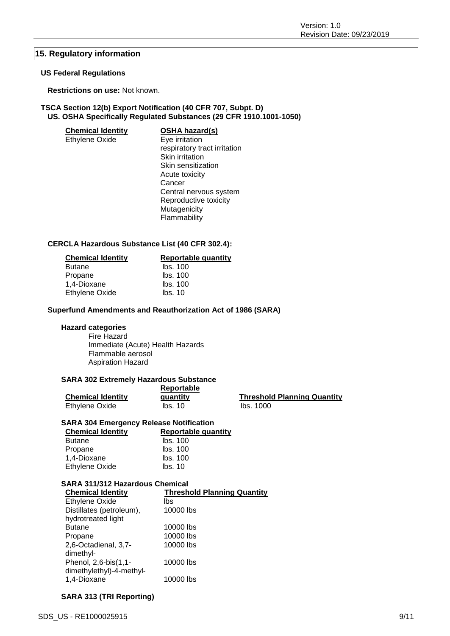# **15. Regulatory information**

# **US Federal Regulations**

**Restrictions on use:** Not known.

# **TSCA Section 12(b) Export Notification (40 CFR 707, Subpt. D) US. OSHA Specifically Regulated Substances (29 CFR 1910.1001-1050)**

| <b>Chemical Identity</b> | <b>OSHA hazard(s)</b>        |
|--------------------------|------------------------------|
| Ethylene Oxide           | Eye irritation               |
|                          | respiratory tract irritation |
|                          | Skin irritation              |
|                          | Skin sensitization           |
|                          | Acute toxicity               |
|                          | Cancer                       |
|                          | Central nervous system       |
|                          | Reproductive toxicity        |
|                          | Mutagenicity                 |
|                          | Flammability                 |
|                          |                              |

# **CERCLA Hazardous Substance List (40 CFR 302.4):**

| <b>Chemical Identity</b> | <b>Reportable quantity</b> |
|--------------------------|----------------------------|
| <b>Butane</b>            | Ibs. 100                   |
| Propane                  | Ibs. 100                   |
| 1,4-Dioxane              | Ibs. 100                   |
| <b>Ethylene Oxide</b>    | lbs. 10                    |

## **Superfund Amendments and Reauthorization Act of 1986 (SARA)**

# **Hazard categories**

Fire Hazard Immediate (Acute) Health Hazards Flammable aerosol Aspiration Hazard

## **SARA 302 Extremely Hazardous Substance**

|                          | <b>Reportable</b> |                                    |
|--------------------------|-------------------|------------------------------------|
| <b>Chemical Identity</b> | quantity          | <b>Threshold Planning Quantity</b> |
| Ethylene Oxide           | Ibs. 10           | lbs. 1000                          |

# **SARA 304 Emergency Release Notification**

| <b>Reportable quantity</b> |
|----------------------------|
| lbs. 100                   |
| lbs. 100                   |
| Ibs. 100                   |
| Ibs. 10                    |
|                            |

# **SARA 311/312 Hazardous Chemical**

| <b>Threshold Planning Quantity</b> |
|------------------------------------|
| lbs                                |
| 10000 lbs                          |
|                                    |
| 10000 lbs                          |
| 10000 lbs                          |
| 10000 lbs                          |
|                                    |
| 10000 lbs                          |
|                                    |
| 10000 lbs                          |
|                                    |

# **SARA 313 (TRI Reporting)**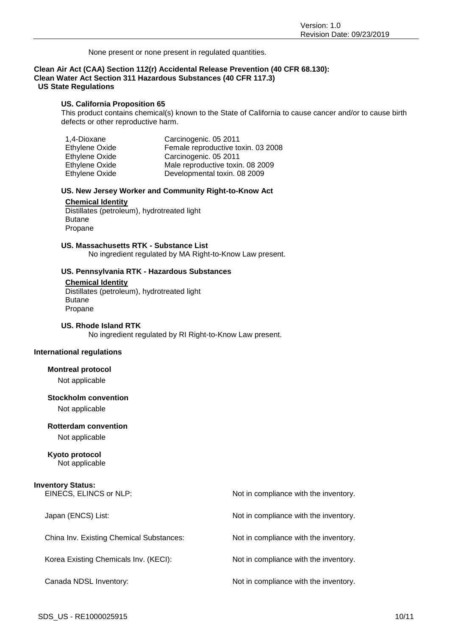None present or none present in regulated quantities.

#### **Clean Air Act (CAA) Section 112(r) Accidental Release Prevention (40 CFR 68.130): Clean Water Act Section 311 Hazardous Substances (40 CFR 117.3) US State Regulations**

#### **US. California Proposition 65**

This product contains chemical(s) known to the State of California to cause cancer and/or to cause birth defects or other reproductive harm.

| 1,4-Dioxane           | Carcinogenic. 05 2011              |
|-----------------------|------------------------------------|
| Ethylene Oxide        | Female reproductive toxin. 03 2008 |
| <b>Ethylene Oxide</b> | Carcinogenic. 05 2011              |
| Ethylene Oxide        | Male reproductive toxin. 08 2009   |
| Ethylene Oxide        | Developmental toxin. 08 2009       |

#### **US. New Jersey Worker and Community Right-to-Know Act**

#### **Chemical Identity**

Distillates (petroleum), hydrotreated light Butane Propane

# **US. Massachusetts RTK - Substance List**

No ingredient regulated by MA Right-to-Know Law present.

#### **US. Pennsylvania RTK - Hazardous Substances**

#### **Chemical Identity**

Distillates (petroleum), hydrotreated light Butane Propane

## **US. Rhode Island RTK**

No ingredient regulated by RI Right-to-Know Law present.

# **International regulations**

#### **Montreal protocol**

Not applicable

## **Stockholm convention**

Not applicable

#### **Rotterdam convention**

Not applicable

# **Kyoto protocol**

Not applicable

### **Inventory Status:**

| EINECS, ELINCS or NLP:                   | Not in compliance with the inventory. |
|------------------------------------------|---------------------------------------|
| Japan (ENCS) List:                       | Not in compliance with the inventory. |
| China Inv. Existing Chemical Substances: | Not in compliance with the inventory. |
| Korea Existing Chemicals Inv. (KECI):    | Not in compliance with the inventory. |
| Canada NDSL Inventory:                   | Not in compliance with the inventory. |